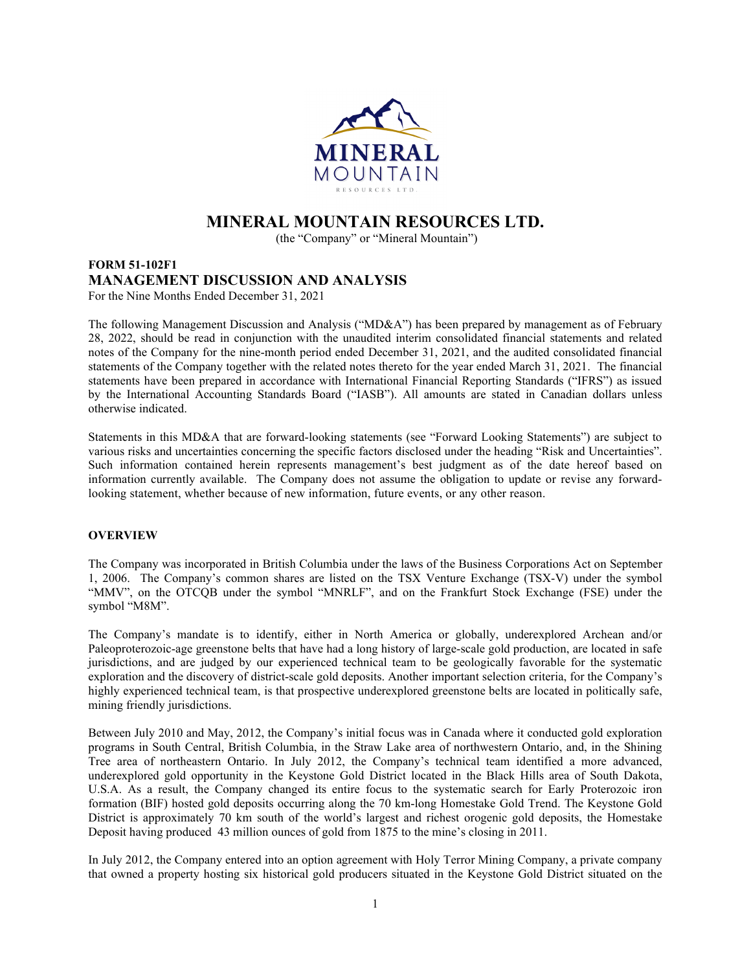

# **MINERAL MOUNTAIN RESOURCES LTD.**

(the "Company" or "Mineral Mountain")

# **FORM 51-102F1 MANAGEMENT DISCUSSION AND ANALYSIS** For the Nine Months Ended December 31, 2021

The following Management Discussion and Analysis ("MD&A") has been prepared by management as of February 28, 2022, should be read in conjunction with the unaudited interim consolidated financial statements and related notes of the Company for the nine-month period ended December 31, 2021, and the audited consolidated financial statements of the Company together with the related notes thereto for the year ended March 31, 2021. The financial statements have been prepared in accordance with International Financial Reporting Standards ("IFRS") as issued by the International Accounting Standards Board ("IASB"). All amounts are stated in Canadian dollars unless otherwise indicated.

Statements in this MD&A that are forward-looking statements (see "Forward Looking Statements") are subject to various risks and uncertainties concerning the specific factors disclosed under the heading "Risk and Uncertainties". Such information contained herein represents management's best judgment as of the date hereof based on information currently available. The Company does not assume the obligation to update or revise any forwardlooking statement, whether because of new information, future events, or any other reason.

# **OVERVIEW**

The Company was incorporated in British Columbia under the laws of the Business Corporations Act on September 1, 2006. The Company's common shares are listed on the TSX Venture Exchange (TSX-V) under the symbol "MMV", on the OTCQB under the symbol "MNRLF", and on the Frankfurt Stock Exchange (FSE) under the symbol "M8M".

The Company's mandate is to identify, either in North America or globally, underexplored Archean and/or Paleoproterozoic-age greenstone belts that have had a long history of large-scale gold production, are located in safe jurisdictions, and are judged by our experienced technical team to be geologically favorable for the systematic exploration and the discovery of district-scale gold deposits. Another important selection criteria, for the Company's highly experienced technical team, is that prospective underexplored greenstone belts are located in politically safe, mining friendly jurisdictions.

Between July 2010 and May, 2012, the Company's initial focus was in Canada where it conducted gold exploration programs in South Central, British Columbia, in the Straw Lake area of northwestern Ontario, and, in the Shining Tree area of northeastern Ontario. In July 2012, the Company's technical team identified a more advanced, underexplored gold opportunity in the Keystone Gold District located in the Black Hills area of South Dakota, U.S.A. As a result, the Company changed its entire focus to the systematic search for Early Proterozoic iron formation (BIF) hosted gold deposits occurring along the 70 km-long Homestake Gold Trend. The Keystone Gold District is approximately 70 km south of the world's largest and richest orogenic gold deposits, the Homestake Deposit having produced 43 million ounces of gold from 1875 to the mine's closing in 2011.

In July 2012, the Company entered into an option agreement with Holy Terror Mining Company, a private company that owned a property hosting six historical gold producers situated in the Keystone Gold District situated on the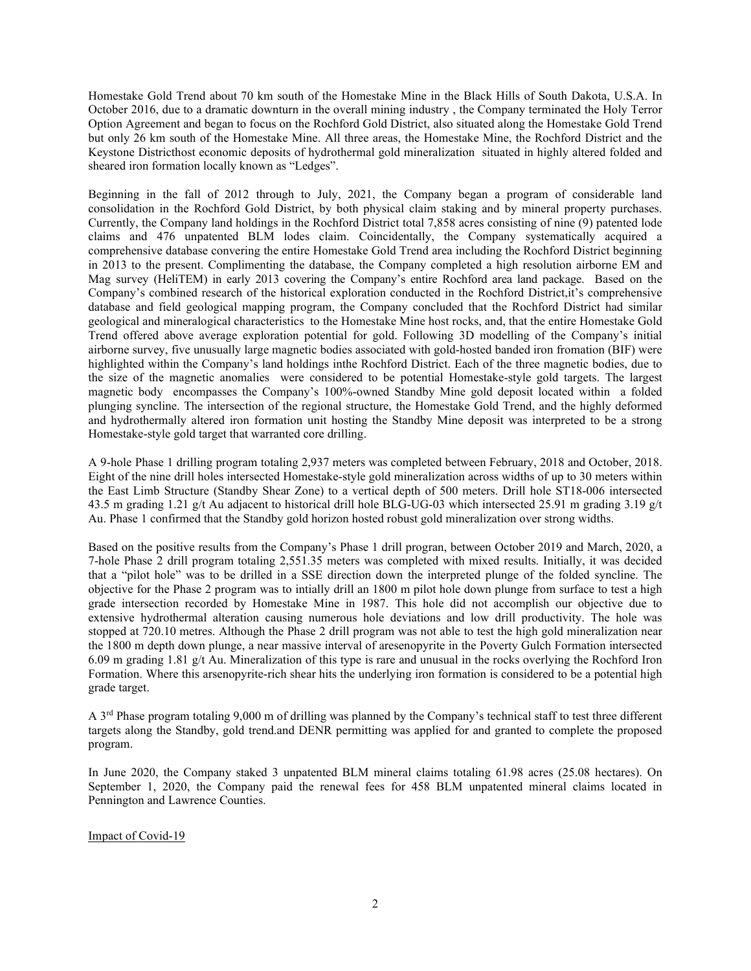Homestake Gold Trend about 70 km south of the Homestake Mine in the Black Hills of South Dakota, U.S.A. In October 2016, due to a dramatic downturn in the overall mining industry , the Company terminated the Holy Terror Option Agreement and began to focus on the Rochford Gold District, also situated along the Homestake Gold Trend but only 26 km south of the Homestake Mine. All three areas, the Homestake Mine, the Rochford District and the Keystone Districthost economic deposits of hydrothermal gold mineralization situated in highly altered folded and sheared iron formation locally known as "Ledges".

Beginning in the fall of 2012 through to July, 2021, the Company began a program of considerable land consolidation in the Rochford Gold District, by both physical claim staking and by mineral property purchases. Currently, the Company land holdings in the Rochford District total 7,858 acres consisting of nine (9) patented lode claims and 476 unpatented BLM lodes claim. Coincidentally, the Company systematically acquired a comprehensive database convering the entire Homestake Gold Trend area including the Rochford District beginning in 2013 to the present. Complimenting the database, the Company completed a high resolution airborne EM and Mag survey (HeliTEM) in early 2013 covering the Company's entire Rochford area land package. Based on the Company's combined research of the historical exploration conducted in the Rochford District,it's comprehensive database and field geological mapping program, the Company concluded that the Rochford District had similar geological and mineralogical characteristics to the Homestake Mine host rocks, and, that the entire Homestake Gold Trend offered above average exploration potential for gold. Following 3D modelling of the Company's initial airborne survey, five unusually large magnetic bodies associated with gold-hosted banded iron fromation (BIF) were highlighted within the Company's land holdings inthe Rochford District. Each of the three magnetic bodies, due to the size of the magnetic anomalies were considered to be potential Homestake-style gold targets. The largest magnetic body encompasses the Company's 100%-owned Standby Mine gold deposit located within a folded plunging syncline. The intersection of the regional structure, the Homestake Gold Trend, and the highly deformed and hydrothermally altered iron formation unit hosting the Standby Mine deposit was interpreted to be a strong Homestake-style gold target that warranted core drilling.

A 9-hole Phase 1 drilling program totaling 2,937 meters was completed between February, 2018 and October, 2018. Eight of the nine drill holes intersected Homestake-style gold mineralization across widths of up to 30 meters within the East Limb Structure (Standby Shear Zone) to a vertical depth of 500 meters. Drill hole ST18-006 intersected 43.5 m grading 1.21 g/t Au adjacent to historical drill hole BLG-UG-03 which intersected 25.91 m grading 3.19 g/t Au. Phase 1 confirmed that the Standby gold horizon hosted robust gold mineralization over strong widths.

Based on the positive results from the Company's Phase 1 drill progran, between October 2019 and March, 2020, a 7-hole Phase 2 drill program totaling 2,551.35 meters was completed with mixed results. Initially, it was decided that a "pilot hole" was to be drilled in a SSE direction down the interpreted plunge of the folded syncline. The objective for the Phase 2 program was to intially drill an 1800 m pilot hole down plunge from surface to test a high grade intersection recorded by Homestake Mine in 1987. This hole did not accomplish our objective due to extensive hydrothermal alteration causing numerous hole deviations and low drill productivity. The hole was stopped at 720.10 metres. Although the Phase 2 drill program was not able to test the high gold mineralization near the 1800 m depth down plunge, a near massive interval of aresenopyrite in the Poverty Gulch Formation intersected 6.09 m grading 1.81 g/t Au. Mineralization of this type is rare and unusual in the rocks overlying the Rochford Iron Formation. Where this arsenopyrite-rich shear hits the underlying iron formation is considered to be a potential high grade target.

A 3<sup>rd</sup> Phase program totaling 9,000 m of drilling was planned by the Company's technical staff to test three different targets along the Standby, gold trend.and DENR permitting was applied for and granted to complete the proposed program.

In June 2020, the Company staked 3 unpatented BLM mineral claims totaling 61.98 acres (25.08 hectares). On September 1, 2020, the Company paid the renewal fees for 458 BLM unpatented mineral claims located in Pennington and Lawrence Counties.

Impact of Covid-19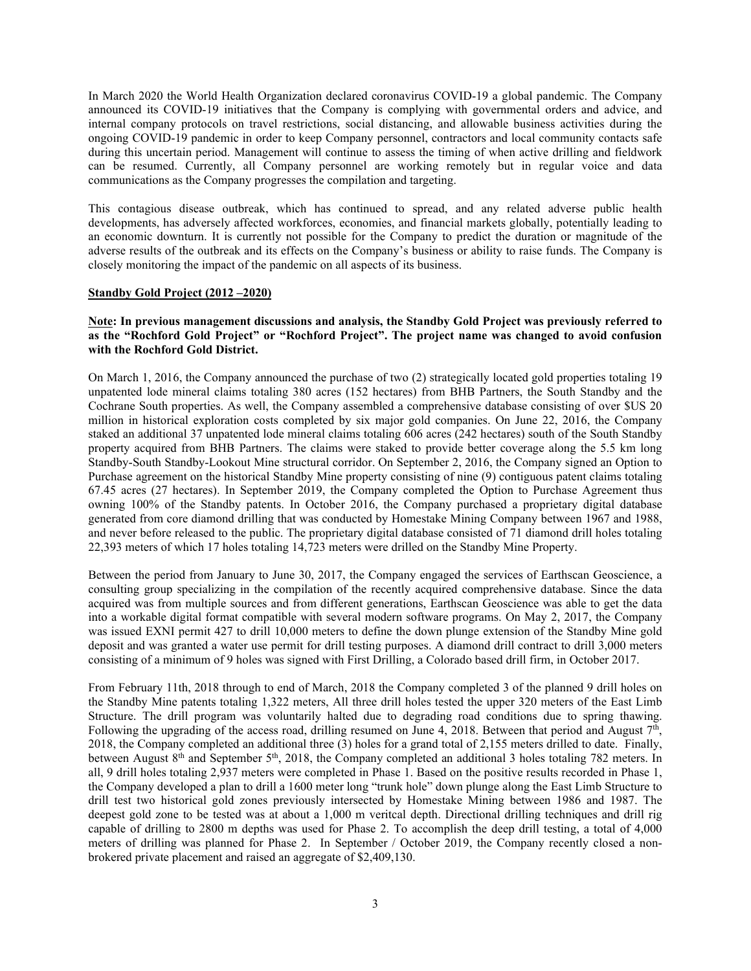In March 2020 the World Health Organization declared coronavirus COVID-19 a global pandemic. The Company announced its COVID-19 initiatives that the Company is complying with governmental orders and advice, and internal company protocols on travel restrictions, social distancing, and allowable business activities during the ongoing COVID-19 pandemic in order to keep Company personnel, contractors and local community contacts safe during this uncertain period. Management will continue to assess the timing of when active drilling and fieldwork can be resumed. Currently, all Company personnel are working remotely but in regular voice and data communications as the Company progresses the compilation and targeting.

This contagious disease outbreak, which has continued to spread, and any related adverse public health developments, has adversely affected workforces, economies, and financial markets globally, potentially leading to an economic downturn. It is currently not possible for the Company to predict the duration or magnitude of the adverse results of the outbreak and its effects on the Company's business or ability to raise funds. The Company is closely monitoring the impact of the pandemic on all aspects of its business.

#### **Standby Gold Project (2012 –2020)**

## **Note: In previous management discussions and analysis, the Standby Gold Project was previously referred to as the "Rochford Gold Project" or "Rochford Project". The project name was changed to avoid confusion with the Rochford Gold District.**

On March 1, 2016, the Company announced the purchase of two (2) strategically located gold properties totaling 19 unpatented lode mineral claims totaling 380 acres (152 hectares) from BHB Partners, the South Standby and the Cochrane South properties. As well, the Company assembled a comprehensive database consisting of over \$US 20 million in historical exploration costs completed by six major gold companies. On June 22, 2016, the Company staked an additional 37 unpatented lode mineral claims totaling 606 acres (242 hectares) south of the South Standby property acquired from BHB Partners. The claims were staked to provide better coverage along the 5.5 km long Standby-South Standby-Lookout Mine structural corridor. On September 2, 2016, the Company signed an Option to Purchase agreement on the historical Standby Mine property consisting of nine (9) contiguous patent claims totaling 67.45 acres (27 hectares). In September 2019, the Company completed the Option to Purchase Agreement thus owning 100% of the Standby patents. In October 2016, the Company purchased a proprietary digital database generated from core diamond drilling that was conducted by Homestake Mining Company between 1967 and 1988, and never before released to the public. The proprietary digital database consisted of 71 diamond drill holes totaling 22,393 meters of which 17 holes totaling 14,723 meters were drilled on the Standby Mine Property.

Between the period from January to June 30, 2017, the Company engaged the services of Earthscan Geoscience, a consulting group specializing in the compilation of the recently acquired comprehensive database. Since the data acquired was from multiple sources and from different generations, Earthscan Geoscience was able to get the data into a workable digital format compatible with several modern software programs. On May 2, 2017, the Company was issued EXNI permit 427 to drill 10,000 meters to define the down plunge extension of the Standby Mine gold deposit and was granted a water use permit for drill testing purposes. A diamond drill contract to drill 3,000 meters consisting of a minimum of 9 holes was signed with First Drilling, a Colorado based drill firm, in October 2017.

From February 11th, 2018 through to end of March, 2018 the Company completed 3 of the planned 9 drill holes on the Standby Mine patents totaling 1,322 meters, All three drill holes tested the upper 320 meters of the East Limb Structure. The drill program was voluntarily halted due to degrading road conditions due to spring thawing. Following the upgrading of the access road, drilling resumed on June 4, 2018. Between that period and August  $7<sup>th</sup>$ , 2018, the Company completed an additional three (3) holes for a grand total of 2,155 meters drilled to date. Finally, between August 8<sup>th</sup> and September 5<sup>th</sup>, 2018, the Company completed an additional 3 holes totaling 782 meters. In all, 9 drill holes totaling 2,937 meters were completed in Phase 1. Based on the positive results recorded in Phase 1, the Company developed a plan to drill a 1600 meter long "trunk hole" down plunge along the East Limb Structure to drill test two historical gold zones previously intersected by Homestake Mining between 1986 and 1987. The deepest gold zone to be tested was at about a 1,000 m veritcal depth. Directional drilling techniques and drill rig capable of drilling to 2800 m depths was used for Phase 2. To accomplish the deep drill testing, a total of 4,000 meters of drilling was planned for Phase 2. In September / October 2019, the Company recently closed a nonbrokered private placement and raised an aggregate of \$2,409,130.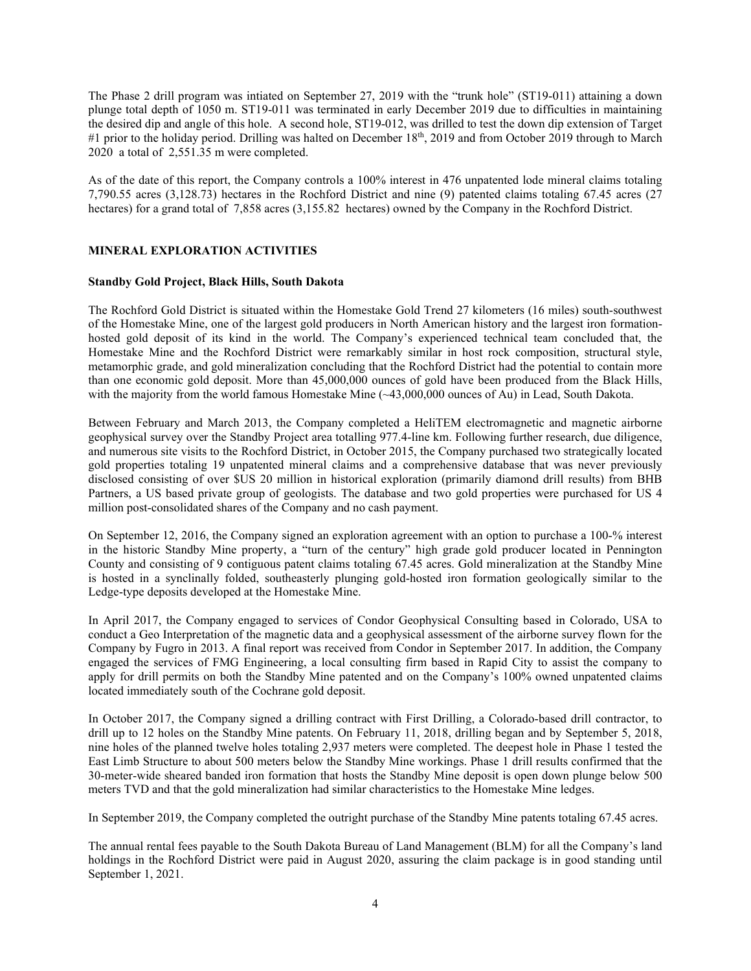The Phase 2 drill program was intiated on September 27, 2019 with the "trunk hole" (ST19-011) attaining a down plunge total depth of 1050 m. ST19-011 was terminated in early December 2019 due to difficulties in maintaining the desired dip and angle of this hole. A second hole, ST19-012, was drilled to test the down dip extension of Target #1 prior to the holiday period. Drilling was halted on December 18<sup>th</sup>, 2019 and from October 2019 through to March 2020 a total of 2,551.35 m were completed.

As of the date of this report, the Company controls a 100% interest in 476 unpatented lode mineral claims totaling 7,790.55 acres (3,128.73) hectares in the Rochford District and nine (9) patented claims totaling 67.45 acres (27 hectares) for a grand total of 7,858 acres (3,155.82 hectares) owned by the Company in the Rochford District.

# **MINERAL EXPLORATION ACTIVITIES**

#### **Standby Gold Project, Black Hills, South Dakota**

The Rochford Gold District is situated within the Homestake Gold Trend 27 kilometers (16 miles) south-southwest of the Homestake Mine, one of the largest gold producers in North American history and the largest iron formationhosted gold deposit of its kind in the world. The Company's experienced technical team concluded that, the Homestake Mine and the Rochford District were remarkably similar in host rock composition, structural style, metamorphic grade, and gold mineralization concluding that the Rochford District had the potential to contain more than one economic gold deposit. More than 45,000,000 ounces of gold have been produced from the Black Hills, with the majority from the world famous Homestake Mine (~43,000,000 ounces of Au) in Lead, South Dakota.

Between February and March 2013, the Company completed a HeliTEM electromagnetic and magnetic airborne geophysical survey over the Standby Project area totalling 977.4-line km. Following further research, due diligence, and numerous site visits to the Rochford District, in October 2015, the Company purchased two strategically located gold properties totaling 19 unpatented mineral claims and a comprehensive database that was never previously disclosed consisting of over \$US 20 million in historical exploration (primarily diamond drill results) from BHB Partners, a US based private group of geologists. The database and two gold properties were purchased for US 4 million post-consolidated shares of the Company and no cash payment.

On September 12, 2016, the Company signed an exploration agreement with an option to purchase a 100-% interest in the historic Standby Mine property, a "turn of the century" high grade gold producer located in Pennington County and consisting of 9 contiguous patent claims totaling 67.45 acres. Gold mineralization at the Standby Mine is hosted in a synclinally folded, southeasterly plunging gold-hosted iron formation geologically similar to the Ledge-type deposits developed at the Homestake Mine.

In April 2017, the Company engaged to services of Condor Geophysical Consulting based in Colorado, USA to conduct a Geo Interpretation of the magnetic data and a geophysical assessment of the airborne survey flown for the Company by Fugro in 2013. A final report was received from Condor in September 2017. In addition, the Company engaged the services of FMG Engineering, a local consulting firm based in Rapid City to assist the company to apply for drill permits on both the Standby Mine patented and on the Company's 100% owned unpatented claims located immediately south of the Cochrane gold deposit.

In October 2017, the Company signed a drilling contract with First Drilling, a Colorado-based drill contractor, to drill up to 12 holes on the Standby Mine patents. On February 11, 2018, drilling began and by September 5, 2018, nine holes of the planned twelve holes totaling 2,937 meters were completed. The deepest hole in Phase 1 tested the East Limb Structure to about 500 meters below the Standby Mine workings. Phase 1 drill results confirmed that the 30-meter-wide sheared banded iron formation that hosts the Standby Mine deposit is open down plunge below 500 meters TVD and that the gold mineralization had similar characteristics to the Homestake Mine ledges.

In September 2019, the Company completed the outright purchase of the Standby Mine patents totaling 67.45 acres.

The annual rental fees payable to the South Dakota Bureau of Land Management (BLM) for all the Company's land holdings in the Rochford District were paid in August 2020, assuring the claim package is in good standing until September 1, 2021.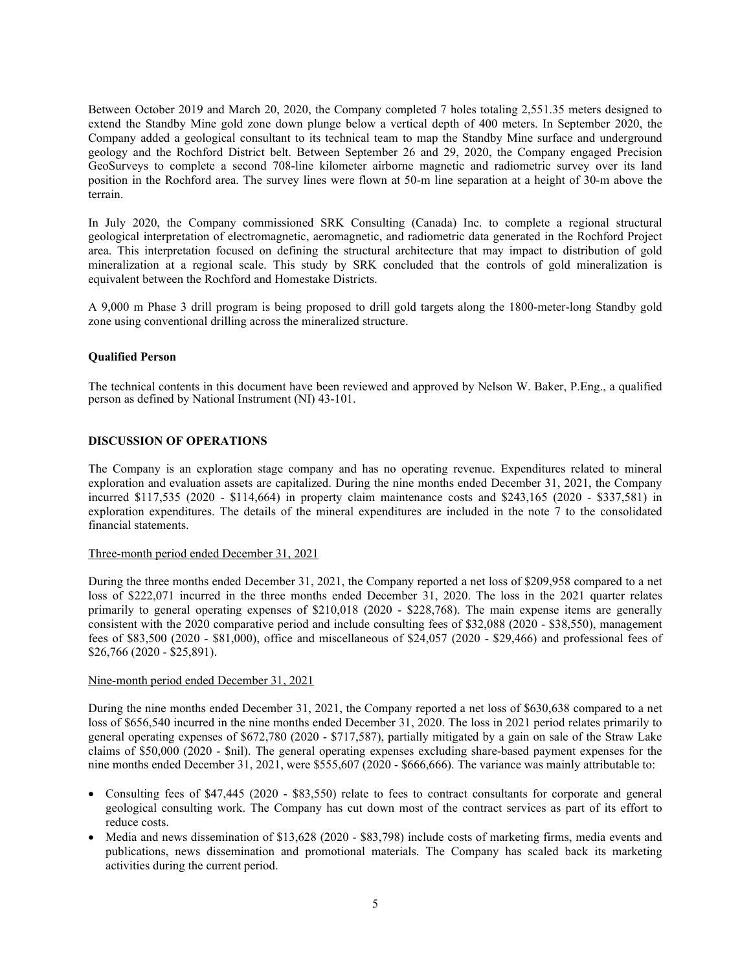Between October 2019 and March 20, 2020, the Company completed 7 holes totaling 2,551.35 meters designed to extend the Standby Mine gold zone down plunge below a vertical depth of 400 meters. In September 2020, the Company added a geological consultant to its technical team to map the Standby Mine surface and underground geology and the Rochford District belt. Between September 26 and 29, 2020, the Company engaged Precision GeoSurveys to complete a second 708-line kilometer airborne magnetic and radiometric survey over its land position in the Rochford area. The survey lines were flown at 50-m line separation at a height of 30-m above the terrain.

In July 2020, the Company commissioned SRK Consulting (Canada) Inc. to complete a regional structural geological interpretation of electromagnetic, aeromagnetic, and radiometric data generated in the Rochford Project area. This interpretation focused on defining the structural architecture that may impact to distribution of gold mineralization at a regional scale. This study by SRK concluded that the controls of gold mineralization is equivalent between the Rochford and Homestake Districts.

A 9,000 m Phase 3 drill program is being proposed to drill gold targets along the 1800-meter-long Standby gold zone using conventional drilling across the mineralized structure.

# **Qualified Person**

The technical contents in this document have been reviewed and approved by Nelson W. Baker, P.Eng., a qualified person as defined by National Instrument (NI) 43-101.

#### **DISCUSSION OF OPERATIONS**

The Company is an exploration stage company and has no operating revenue. Expenditures related to mineral exploration and evaluation assets are capitalized. During the nine months ended December 31, 2021, the Company incurred \$117,535 (2020 - \$114,664) in property claim maintenance costs and \$243,165 (2020 - \$337,581) in exploration expenditures. The details of the mineral expenditures are included in the note 7 to the consolidated financial statements.

#### Three-month period ended December 31, 2021

During the three months ended December 31, 2021, the Company reported a net loss of \$209,958 compared to a net loss of \$222,071 incurred in the three months ended December 31, 2020. The loss in the 2021 quarter relates primarily to general operating expenses of \$210,018 (2020 - \$228,768). The main expense items are generally consistent with the 2020 comparative period and include consulting fees of \$32,088 (2020 - \$38,550), management fees of \$83,500 (2020 - \$81,000), office and miscellaneous of \$24,057 (2020 - \$29,466) and professional fees of \$26,766 (2020 - \$25,891).

## Nine-month period ended December 31, 2021

During the nine months ended December 31, 2021, the Company reported a net loss of \$630,638 compared to a net loss of \$656,540 incurred in the nine months ended December 31, 2020. The loss in 2021 period relates primarily to general operating expenses of \$672,780 (2020 - \$717,587), partially mitigated by a gain on sale of the Straw Lake claims of \$50,000 (2020 - \$nil). The general operating expenses excluding share-based payment expenses for the nine months ended December 31, 2021, were \$555,607 (2020 - \$666,666). The variance was mainly attributable to:

- Consulting fees of \$47,445 (2020 \$83,550) relate to fees to contract consultants for corporate and general geological consulting work. The Company has cut down most of the contract services as part of its effort to reduce costs.
- Media and news dissemination of \$13,628 (2020 \$83,798) include costs of marketing firms, media events and publications, news dissemination and promotional materials. The Company has scaled back its marketing activities during the current period.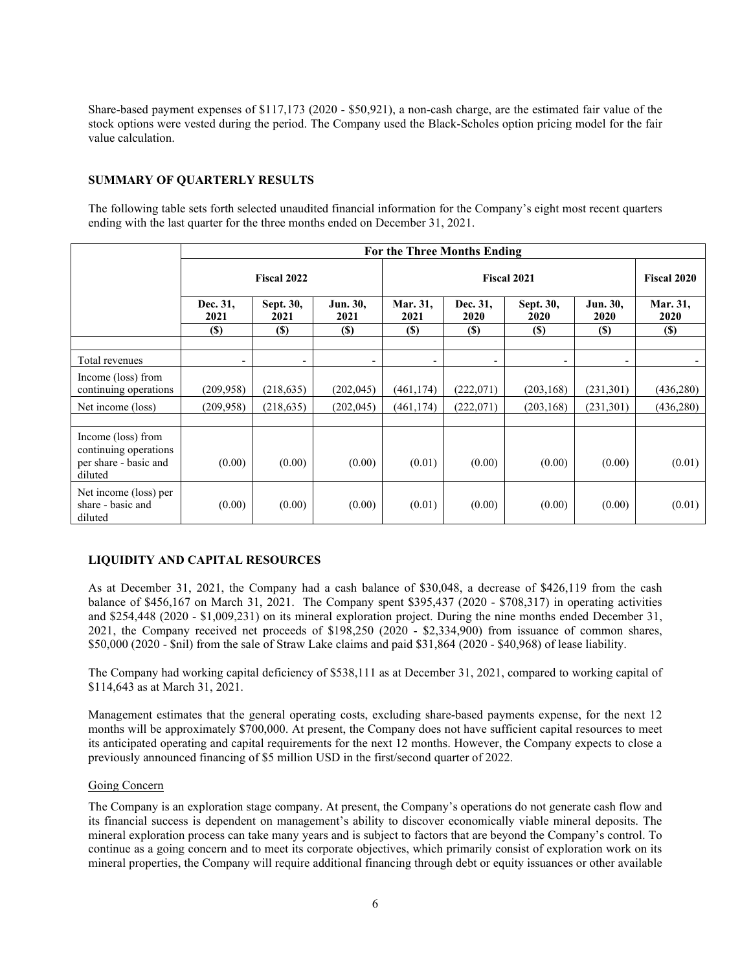Share-based payment expenses of \$117,173 (2020 - \$50,921), a non-cash charge, are the estimated fair value of the stock options were vested during the period. The Company used the Black-Scholes option pricing model for the fair value calculation.

# **SUMMARY OF QUARTERLY RESULTS**

The following table sets forth selected unaudited financial information for the Company's eight most recent quarters ending with the last quarter for the three months ended on December 31, 2021.

|                                                                                 | For the Three Months Ending |                   |                  |                    |                          |                          |                          |                    |  |
|---------------------------------------------------------------------------------|-----------------------------|-------------------|------------------|--------------------|--------------------------|--------------------------|--------------------------|--------------------|--|
|                                                                                 | Fiscal 2022                 |                   |                  | <b>Fiscal 2021</b> |                          |                          |                          | <b>Fiscal 2020</b> |  |
|                                                                                 | Dec. 31,<br>2021            | Sept. 30,<br>2021 | Jun. 30,<br>2021 | Mar. 31,<br>2021   | Dec. 31.<br>2020         | Sept. 30,<br>2020        | Jun. 30,<br>2020         | Mar. 31,<br>2020   |  |
|                                                                                 | $(\$)$                      | $(\$)$            | $(\$)$           | (S)                | <b>(\$)</b>              | $(\$)$                   | (S)                      | (S)                |  |
| Total revenues                                                                  | $\overline{\phantom{a}}$    | -                 |                  |                    | $\overline{\phantom{a}}$ | $\overline{\phantom{0}}$ | $\overline{\phantom{a}}$ |                    |  |
| Income (loss) from<br>continuing operations                                     | (209, 958)                  | (218, 635)        | (202, 045)       | (461, 174)         | (222,071)                | (203, 168)               | (231, 301)               | (436,280)          |  |
| Net income (loss)                                                               | (209, 958)                  | (218, 635)        | (202, 045)       | (461, 174)         | (222,071)                | (203, 168)               | (231, 301)               | (436,280)          |  |
|                                                                                 |                             |                   |                  |                    |                          |                          |                          |                    |  |
| Income (loss) from<br>continuing operations<br>per share - basic and<br>diluted | (0.00)                      | (0.00)            | (0.00)           | (0.01)             | (0.00)                   | (0.00)                   | (0.00)                   | (0.01)             |  |
| Net income (loss) per<br>share - basic and<br>diluted                           | (0.00)                      | (0.00)            | (0.00)           | (0.01)             | (0.00)                   | (0.00)                   | (0.00)                   | (0.01)             |  |

# **LIQUIDITY AND CAPITAL RESOURCES**

As at December 31, 2021, the Company had a cash balance of \$30,048, a decrease of \$426,119 from the cash balance of \$456,167 on March 31, 2021. The Company spent \$395,437 (2020 - \$708,317) in operating activities and \$254,448 (2020 - \$1,009,231) on its mineral exploration project. During the nine months ended December 31, 2021, the Company received net proceeds of \$198,250 (2020 - \$2,334,900) from issuance of common shares, \$50,000 (2020 - \$nil) from the sale of Straw Lake claims and paid \$31,864 (2020 - \$40,968) of lease liability.

The Company had working capital deficiency of \$538,111 as at December 31, 2021, compared to working capital of \$114,643 as at March 31, 2021.

Management estimates that the general operating costs, excluding share-based payments expense, for the next 12 months will be approximately \$700,000. At present, the Company does not have sufficient capital resources to meet its anticipated operating and capital requirements for the next 12 months. However, the Company expects to close a previously announced financing of \$5 million USD in the first/second quarter of 2022.

#### Going Concern

The Company is an exploration stage company. At present, the Company's operations do not generate cash flow and its financial success is dependent on management's ability to discover economically viable mineral deposits. The mineral exploration process can take many years and is subject to factors that are beyond the Company's control. To continue as a going concern and to meet its corporate objectives, which primarily consist of exploration work on its mineral properties, the Company will require additional financing through debt or equity issuances or other available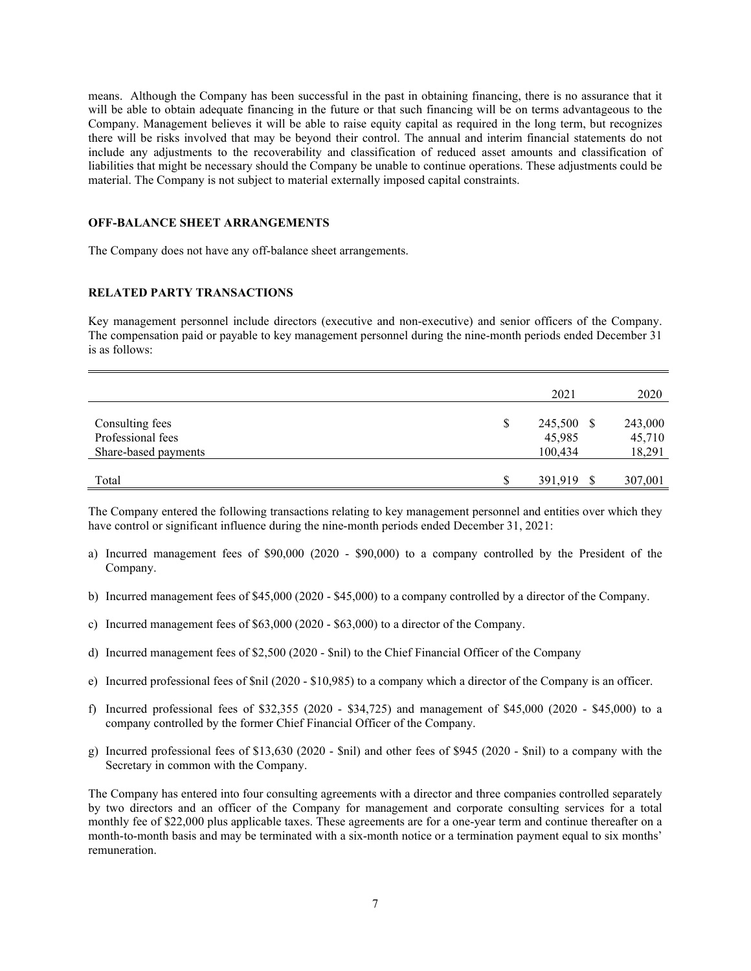means. Although the Company has been successful in the past in obtaining financing, there is no assurance that it will be able to obtain adequate financing in the future or that such financing will be on terms advantageous to the Company. Management believes it will be able to raise equity capital as required in the long term, but recognizes there will be risks involved that may be beyond their control. The annual and interim financial statements do not include any adjustments to the recoverability and classification of reduced asset amounts and classification of liabilities that might be necessary should the Company be unable to continue operations. These adjustments could be material. The Company is not subject to material externally imposed capital constraints.

# **OFF-BALANCE SHEET ARRANGEMENTS**

The Company does not have any off-balance sheet arrangements.

# **RELATED PARTY TRANSACTIONS**

Key management personnel include directors (executive and non-executive) and senior officers of the Company. The compensation paid or payable to key management personnel during the nine-month periods ended December 31 is as follows:

|                                                              |    | 2021                            | 2020                        |
|--------------------------------------------------------------|----|---------------------------------|-----------------------------|
| Consulting fees<br>Professional fees<br>Share-based payments | \$ | 245,500 \$<br>45,985<br>100,434 | 243,000<br>45,710<br>18,291 |
| Total                                                        | S  | 391,919                         | 307,001                     |

The Company entered the following transactions relating to key management personnel and entities over which they have control or significant influence during the nine-month periods ended December 31, 2021:

- a) Incurred management fees of \$90,000 (2020 \$90,000) to a company controlled by the President of the Company.
- b) Incurred management fees of \$45,000 (2020 \$45,000) to a company controlled by a director of the Company.
- c) Incurred management fees of \$63,000 (2020 \$63,000) to a director of the Company.
- d) Incurred management fees of \$2,500 (2020 \$nil) to the Chief Financial Officer of the Company
- e) Incurred professional fees of \$nil (2020 \$10,985) to a company which a director of the Company is an officer.
- f) Incurred professional fees of \$32,355 (2020 \$34,725) and management of \$45,000 (2020 \$45,000) to a company controlled by the former Chief Financial Officer of the Company.
- g) Incurred professional fees of \$13,630 (2020 \$nil) and other fees of \$945 (2020 \$nil) to a company with the Secretary in common with the Company.

The Company has entered into four consulting agreements with a director and three companies controlled separately by two directors and an officer of the Company for management and corporate consulting services for a total monthly fee of \$22,000 plus applicable taxes. These agreements are for a one-year term and continue thereafter on a month-to-month basis and may be terminated with a six-month notice or a termination payment equal to six months' remuneration.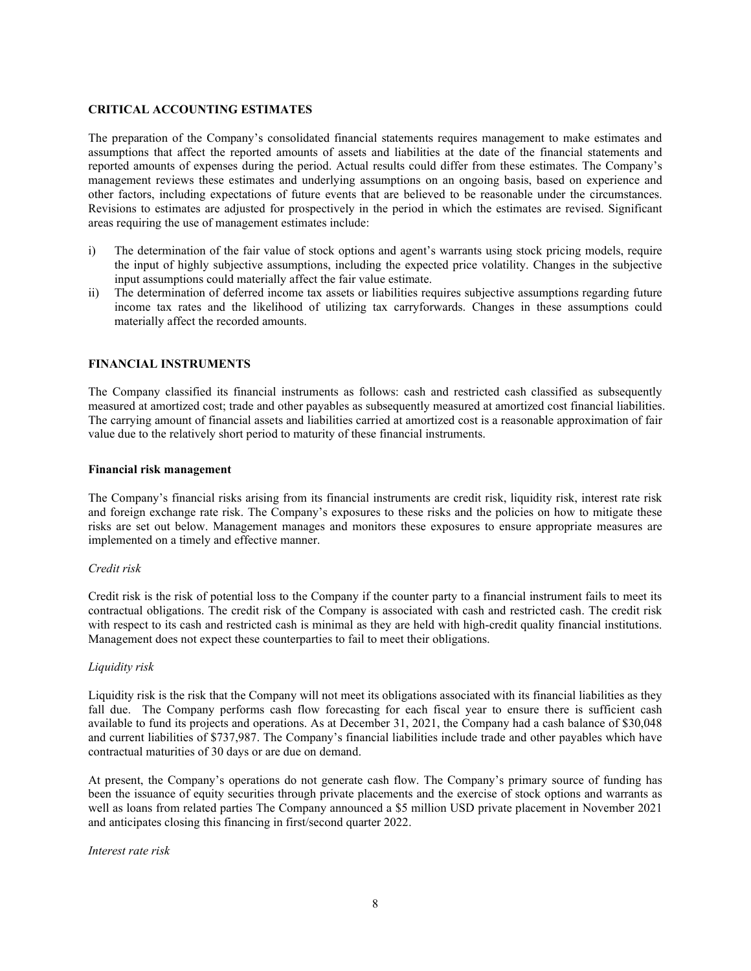# **CRITICAL ACCOUNTING ESTIMATES**

The preparation of the Company's consolidated financial statements requires management to make estimates and assumptions that affect the reported amounts of assets and liabilities at the date of the financial statements and reported amounts of expenses during the period. Actual results could differ from these estimates. The Company's management reviews these estimates and underlying assumptions on an ongoing basis, based on experience and other factors, including expectations of future events that are believed to be reasonable under the circumstances. Revisions to estimates are adjusted for prospectively in the period in which the estimates are revised. Significant areas requiring the use of management estimates include:

- i) The determination of the fair value of stock options and agent's warrants using stock pricing models, require the input of highly subjective assumptions, including the expected price volatility. Changes in the subjective input assumptions could materially affect the fair value estimate.
- ii) The determination of deferred income tax assets or liabilities requires subjective assumptions regarding future income tax rates and the likelihood of utilizing tax carryforwards. Changes in these assumptions could materially affect the recorded amounts.

# **FINANCIAL INSTRUMENTS**

The Company classified its financial instruments as follows: cash and restricted cash classified as subsequently measured at amortized cost; trade and other payables as subsequently measured at amortized cost financial liabilities. The carrying amount of financial assets and liabilities carried at amortized cost is a reasonable approximation of fair value due to the relatively short period to maturity of these financial instruments.

#### **Financial risk management**

The Company's financial risks arising from its financial instruments are credit risk, liquidity risk, interest rate risk and foreign exchange rate risk. The Company's exposures to these risks and the policies on how to mitigate these risks are set out below. Management manages and monitors these exposures to ensure appropriate measures are implemented on a timely and effective manner.

#### *Credit risk*

Credit risk is the risk of potential loss to the Company if the counter party to a financial instrument fails to meet its contractual obligations. The credit risk of the Company is associated with cash and restricted cash. The credit risk with respect to its cash and restricted cash is minimal as they are held with high-credit quality financial institutions. Management does not expect these counterparties to fail to meet their obligations.

#### *Liquidity risk*

Liquidity risk is the risk that the Company will not meet its obligations associated with its financial liabilities as they fall due. The Company performs cash flow forecasting for each fiscal year to ensure there is sufficient cash available to fund its projects and operations. As at December 31, 2021, the Company had a cash balance of \$30,048 and current liabilities of \$737,987. The Company's financial liabilities include trade and other payables which have contractual maturities of 30 days or are due on demand.

At present, the Company's operations do not generate cash flow. The Company's primary source of funding has been the issuance of equity securities through private placements and the exercise of stock options and warrants as well as loans from related parties The Company announced a \$5 million USD private placement in November 2021 and anticipates closing this financing in first/second quarter 2022.

#### *Interest rate risk*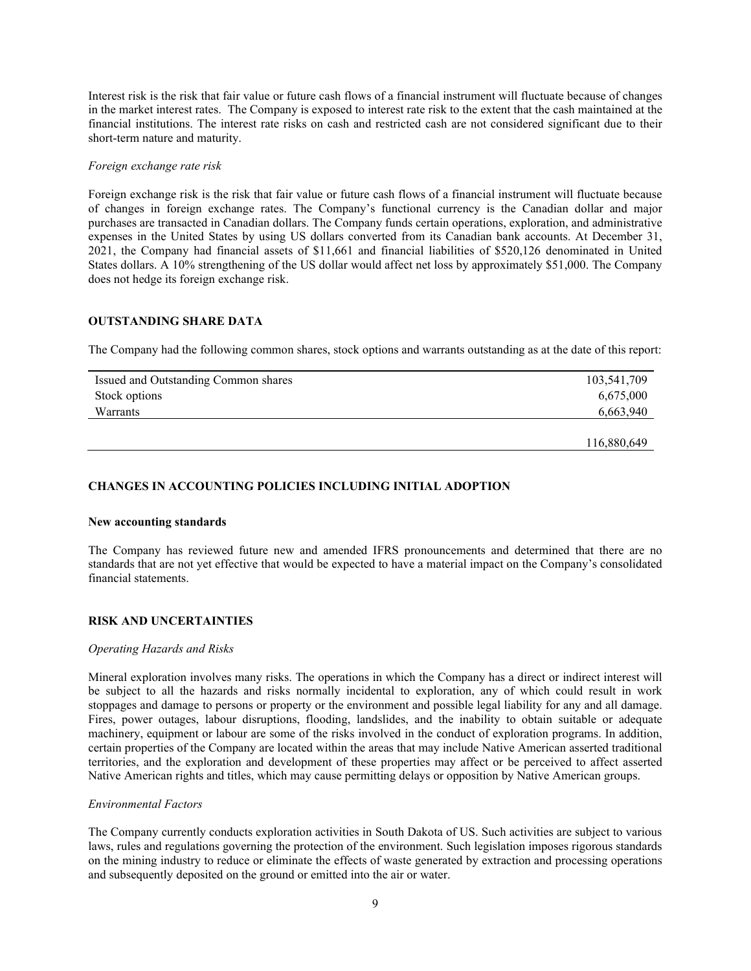Interest risk is the risk that fair value or future cash flows of a financial instrument will fluctuate because of changes in the market interest rates. The Company is exposed to interest rate risk to the extent that the cash maintained at the financial institutions. The interest rate risks on cash and restricted cash are not considered significant due to their short-term nature and maturity.

#### *Foreign exchange rate risk*

Foreign exchange risk is the risk that fair value or future cash flows of a financial instrument will fluctuate because of changes in foreign exchange rates. The Company's functional currency is the Canadian dollar and major purchases are transacted in Canadian dollars. The Company funds certain operations, exploration, and administrative expenses in the United States by using US dollars converted from its Canadian bank accounts. At December 31, 2021, the Company had financial assets of \$11,661 and financial liabilities of \$520,126 denominated in United States dollars. A 10% strengthening of the US dollar would affect net loss by approximately \$51,000. The Company does not hedge its foreign exchange risk.

# **OUTSTANDING SHARE DATA**

The Company had the following common shares, stock options and warrants outstanding as at the date of this report:

| Issued and Outstanding Common shares | 103,541,709 |  |  |
|--------------------------------------|-------------|--|--|
| Stock options                        | 6,675,000   |  |  |
| Warrants                             | 6,663,940   |  |  |
|                                      |             |  |  |
|                                      | 116,880,649 |  |  |

# **CHANGES IN ACCOUNTING POLICIES INCLUDING INITIAL ADOPTION**

#### **New accounting standards**

The Company has reviewed future new and amended IFRS pronouncements and determined that there are no standards that are not yet effective that would be expected to have a material impact on the Company's consolidated financial statements.

# **RISK AND UNCERTAINTIES**

#### *Operating Hazards and Risks*

Mineral exploration involves many risks. The operations in which the Company has a direct or indirect interest will be subject to all the hazards and risks normally incidental to exploration, any of which could result in work stoppages and damage to persons or property or the environment and possible legal liability for any and all damage. Fires, power outages, labour disruptions, flooding, landslides, and the inability to obtain suitable or adequate machinery, equipment or labour are some of the risks involved in the conduct of exploration programs. In addition, certain properties of the Company are located within the areas that may include Native American asserted traditional territories, and the exploration and development of these properties may affect or be perceived to affect asserted Native American rights and titles, which may cause permitting delays or opposition by Native American groups.

## *Environmental Factors*

The Company currently conducts exploration activities in South Dakota of US. Such activities are subject to various laws, rules and regulations governing the protection of the environment. Such legislation imposes rigorous standards on the mining industry to reduce or eliminate the effects of waste generated by extraction and processing operations and subsequently deposited on the ground or emitted into the air or water.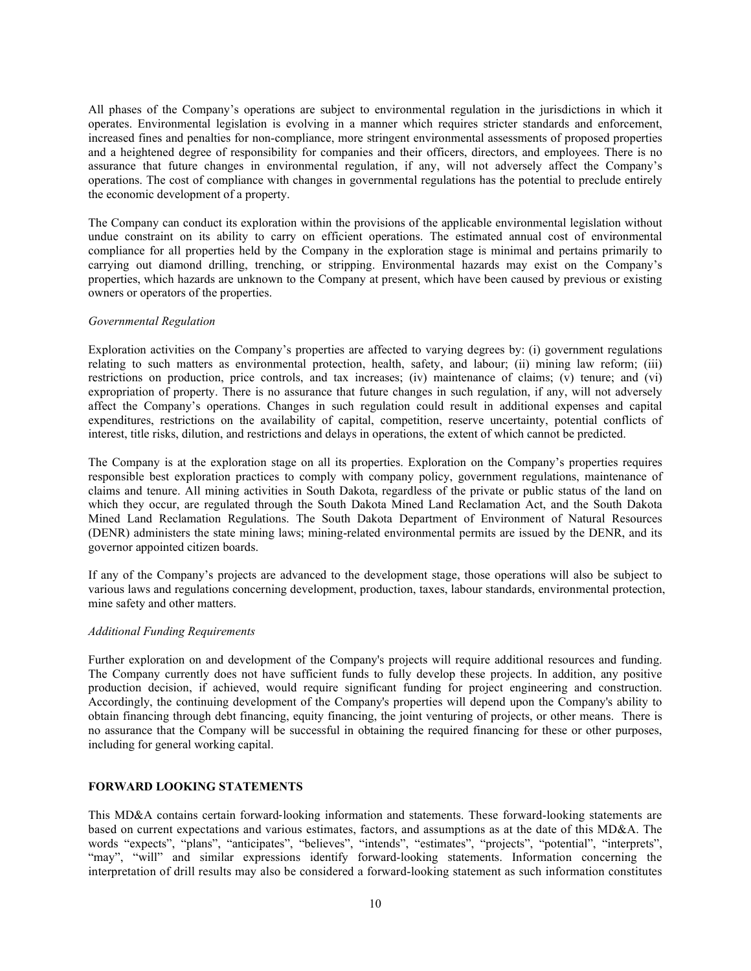All phases of the Company's operations are subject to environmental regulation in the jurisdictions in which it operates. Environmental legislation is evolving in a manner which requires stricter standards and enforcement, increased fines and penalties for non-compliance, more stringent environmental assessments of proposed properties and a heightened degree of responsibility for companies and their officers, directors, and employees. There is no assurance that future changes in environmental regulation, if any, will not adversely affect the Company's operations. The cost of compliance with changes in governmental regulations has the potential to preclude entirely the economic development of a property.

The Company can conduct its exploration within the provisions of the applicable environmental legislation without undue constraint on its ability to carry on efficient operations. The estimated annual cost of environmental compliance for all properties held by the Company in the exploration stage is minimal and pertains primarily to carrying out diamond drilling, trenching, or stripping. Environmental hazards may exist on the Company's properties, which hazards are unknown to the Company at present, which have been caused by previous or existing owners or operators of the properties.

#### *Governmental Regulation*

Exploration activities on the Company's properties are affected to varying degrees by: (i) government regulations relating to such matters as environmental protection, health, safety, and labour; (ii) mining law reform; (iii) restrictions on production, price controls, and tax increases; (iv) maintenance of claims; (v) tenure; and (vi) expropriation of property. There is no assurance that future changes in such regulation, if any, will not adversely affect the Company's operations. Changes in such regulation could result in additional expenses and capital expenditures, restrictions on the availability of capital, competition, reserve uncertainty, potential conflicts of interest, title risks, dilution, and restrictions and delays in operations, the extent of which cannot be predicted.

The Company is at the exploration stage on all its properties. Exploration on the Company's properties requires responsible best exploration practices to comply with company policy, government regulations, maintenance of claims and tenure. All mining activities in South Dakota, regardless of the private or public status of the land on which they occur, are regulated through the South Dakota Mined Land Reclamation Act, and the South Dakota Mined Land Reclamation Regulations. The South Dakota Department of Environment of Natural Resources (DENR) administers the state mining laws; mining-related environmental permits are issued by the DENR, and its governor appointed citizen boards.

If any of the Company's projects are advanced to the development stage, those operations will also be subject to various laws and regulations concerning development, production, taxes, labour standards, environmental protection, mine safety and other matters.

#### *Additional Funding Requirements*

Further exploration on and development of the Company's projects will require additional resources and funding. The Company currently does not have sufficient funds to fully develop these projects. In addition, any positive production decision, if achieved, would require significant funding for project engineering and construction. Accordingly, the continuing development of the Company's properties will depend upon the Company's ability to obtain financing through debt financing, equity financing, the joint venturing of projects, or other means. There is no assurance that the Company will be successful in obtaining the required financing for these or other purposes, including for general working capital.

#### **FORWARD LOOKING STATEMENTS**

This MD&A contains certain forward‐looking information and statements. These forward-looking statements are based on current expectations and various estimates, factors, and assumptions as at the date of this MD&A. The words "expects", "plans", "anticipates", "believes", "intends", "estimates", "projects", "potential", "interprets", "may", "will" and similar expressions identify forward-looking statements. Information concerning the interpretation of drill results may also be considered a forward-looking statement as such information constitutes